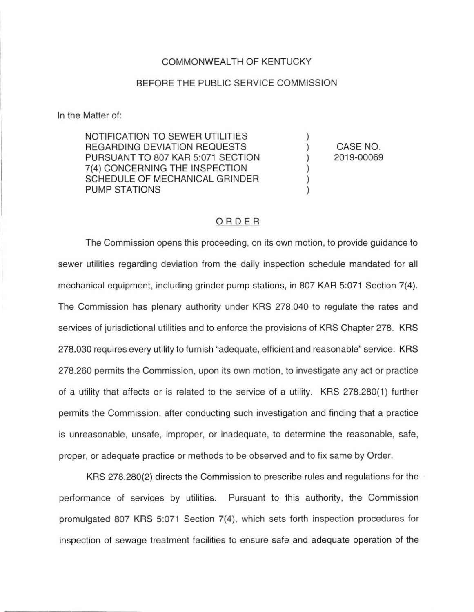## COMMONWEAL TH OF KENTUCKY

## BEFORE THE PUBLIC SERVICE COMMISSION

In the Matter of:

NOTIFICATION TO SEWER UTILITIES REGARDING DEVIATION REQUESTS PURSUANT TO 807 KAR 5:071 SECTION 7(4) CONCERNING THE INSPECTION SCHEDULE OF MECHANICAL GRINDER PUMP STATIONS

CASE NO. 2019-00069

) ) ) ) ) )

## ORDER

The Commission opens this proceeding, on its own motion, to provide guidance to sewer utilities regarding deviation from the daily inspection schedule mandated for all mechanical equipment, including grinder pump stations, in 807 KAR 5:071 Section 7(4). The Commission has plenary authority under KRS 278.040 to regulate the rates and services of jurisdictional utilities and to enforce the provisions of KRS Chapter 278. KRS 278.030 requires every utility to furnish "adequate, efficient and reasonable" service. KRS 278.260 permits the Commission, upon its own motion, to investigate any act or practice of a utility that affects or is related to the service of a utility. KRS 278.280(1) further permits the Commission, after conducting such investigation and finding that a practice is unreasonable, unsafe, improper, or inadequate, to determine the reasonable, safe, proper, or adequate practice or methods to be observed and to fix same by Order.

KRS 278.280(2) directs the Commission to prescribe rules and regulations for the performance of services by utilities. Pursuant to this authority, the Commission promulgated 807 KRS 5:071 Section 7(4), which sets forth inspection procedures for inspection of sewage treatment facilities to ensure safe and adequate operation of the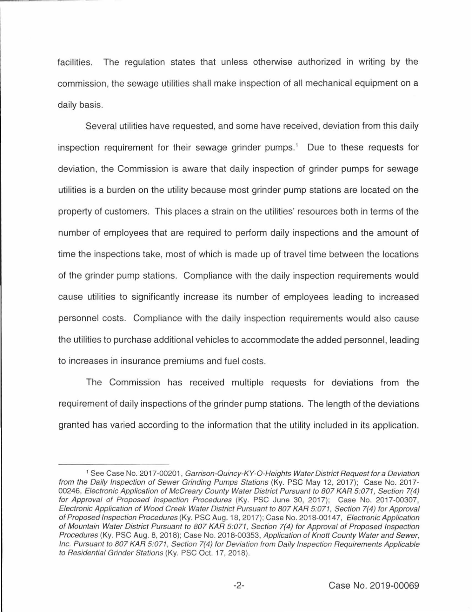facilities. The regulation states that unless otherwise authorized in writing by the commission, the sewage utilities shall make inspection of all mechanical equipment on a daily basis.

Several utilities have requested, and some have received, deviation from this daily inspection requirement for their sewage grinder pumps.<sup>1</sup> Due to these requests for deviation, the Commission is aware that daily inspection of grinder pumps for sewage utilities is a burden on the utility because most grinder pump stations are located on the property of customers. This places a strain on the utilities' resources both in terms of the number of employees that are required to perform daily inspections and the amount of time the inspections take, most of which is made up of travel time between the locations of the grinder pump stations. Compliance with the daily inspection requirements would cause utilities to significantly increase its number of employees leading to increased personnel costs. Compliance with the daily inspection requirements would also cause the utilities to purchase additional vehicles to accommodate the added personnel, leading to increases in insurance premiums and fuel costs.

The Commission has received multiple requests for deviations from the requirement of daily inspections of the grinder pump stations. The length of the deviations granted has varied according to the information that the utility included in its application.

<sup>&</sup>lt;sup>1</sup> See Case No. 2017-00201, Garrison-Quincy-KY-O-Heights Water District Request for a Deviation from the Daily Inspection of Sewer Grinding Pumps Stations (Ky. PSC May 12, 2017); Case No. 2017- 00246, Electronic Application of McCreary County Water District Pursuant to 807 KAR 5:071, Section 7(4) for Approval of Proposed Inspection Procedures (Ky. PSC June 30, 2017); Case No. 2017-00307, Electronic Application of Wood Creek Water District Pursuant to 807 KAR 5:071, Section 7(4) for Approval of Proposed Inspection Procedures (Ky. PSC Aug. 18, 2017); Case No. 2018-00147, Electronic Application of Mountain Water District Pursuant to 807 KAR 5:071, Section 7(4) for Approval of Proposed Inspection Procedures (Ky. PSC Aug. 8, 2018); Case No. 2018-00353, Application of Knott County Water and Sewer, Inc. Pursuant to 807 KAR 5:071, Section 7(4) for Deviation from Daily Inspection Requirements Applicable to Residential Grinder Stations (Ky. PSC Oct. 17, 2018).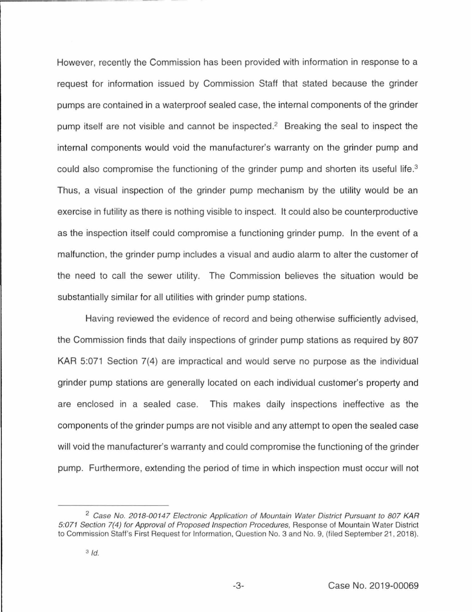However, recently the Commission has been provided with information in response to a request for information issued by Commission Staff that stated because the grinder pumps are contained in a waterproof sealed case, the internal components of the grinder pump itself are not visible and cannot be inspected.<sup>2</sup> Breaking the seal to inspect the internal components would void the manufacturer's warranty on the grinder pump and could also compromise the functioning of the grinder pump and shorten its useful life. 3 Thus, a visual inspection of the grinder pump mechanism by the utility would be an exercise in futility as there is nothing visible to inspect. It could also be counterproductive as the inspection itself could compromise a functioning grinder pump. In the event of a malfunction, the grinder pump includes a visual and audio alarm to alter the customer of the need to call the sewer utility. The Commission believes the situation would be substantially similar for all utilities with grinder pump stations.

Having reviewed the evidence of record and being otherwise sufficiently advised, the Commission finds that daily inspections of grinder pump stations as required by 807 KAR 5:071 Section 7(4) are impractical and would serve no purpose as the individual grinder pump stations are generally located on each individual customer's property and are enclosed in a sealed case. This makes daily inspections ineffective as the components of the grinder pumps are not visible and any attempt to open the sealed case will void the manufacturer's warranty and could compromise the functioning of the grinder pump. Furthermore, extending the period of time in which inspection must occur will not

<sup>&</sup>lt;sup>2</sup> Case No. 2018-00147 Electronic Application of Mountain Water District Pursuant to 807 KAR 5:071 Section 7(4) for Approval of Proposed Inspection Procedures, Response of Mountain Water District to Commission Staff's First Request for Information, Question No. 3 and No. 9, (filed September 21, 2018).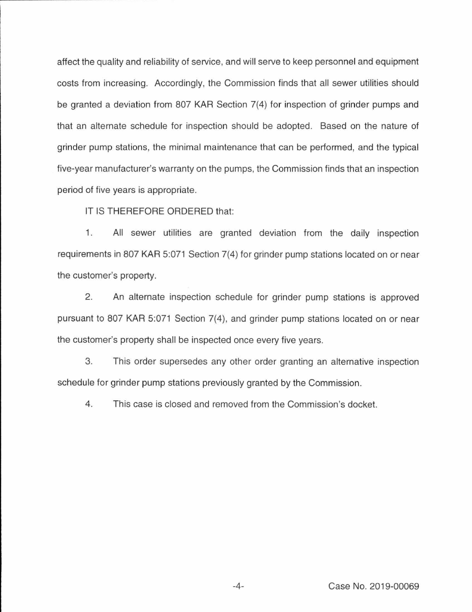affect the quality and reliability of service, and will serve to keep personnel and equipment costs from increasing. Accordingly, the Commission finds that all sewer utilities should be granted a deviation from 807 KAR Section 7(4) for inspection of grinder pumps and that an alternate schedule for inspection should be adopted. Based on the nature of grinder pump stations, the minimal maintenance that can be performed, and the typical five-year manufacturer's warranty on the pumps, the Commission finds that an inspection period of five years is appropriate.

IT IS THEREFORE ORDERED that:

1. All sewer utilities are granted deviation from the daily inspection requirements in 807 KAR 5:071 Section 7(4) for grinder pump stations located on or near the customer's property.

2. An alternate inspection schedule for grinder pump stations is approved pursuant to 807 KAR 5:071 Section 7(4), and grinder pump stations located on or near the customer's property shall be inspected once every five years.

3. This order supersedes any other order granting an alternative inspection schedule for grinder pump stations previously granted by the Commission.

4. This case is closed and removed from the Commission's docket.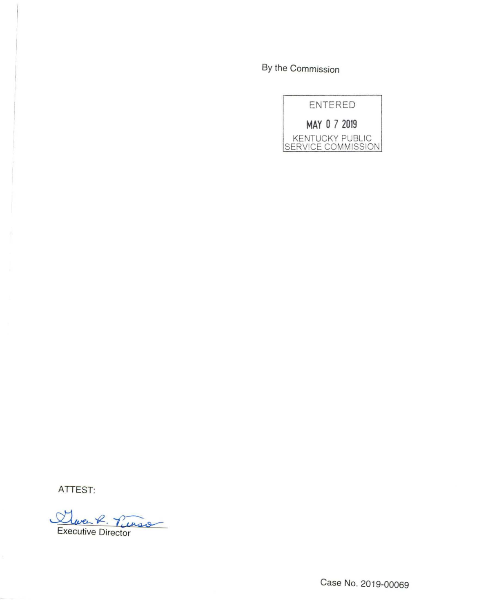By the Commission



ATTEST:

Que R. Tu K. Tueso

Case No. 2019-00069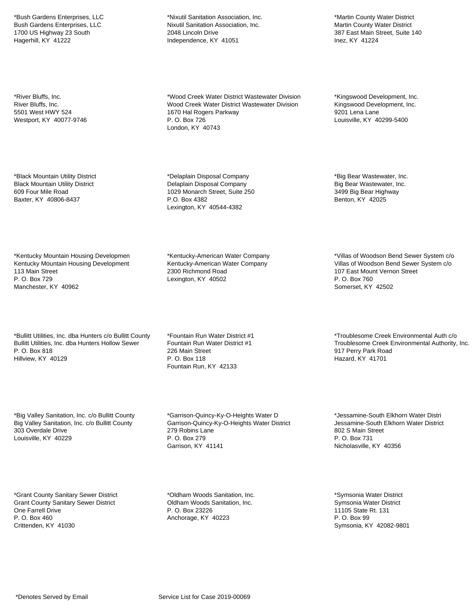\*Bush Gardens Enterprises, LLC Bush Gardens Enterprises, LLC 1700 US Highway 23 South Hagerhill, KY 41222

\*River Bluffs, Inc. River Bluffs, Inc. 5501 West HWY 524 Westport, KY 40077-9746

\*Black Mountain Utility District Black Mountain Utility District 609 Four Mile Road Baxter, KY 40806-8437

\*Kentucky Mountain Housing Developmen Kentucky Mountain Housing Development 113 Main Street P. O. Box 729 Manchester, KY 40962

\*Bullitt Utilities, Inc. dba Hunters c/o Bullitt County Bullitt Utilities, Inc. dba Hunters Hollow Sewer P. O. Box 818 Hillview, KY 40129

\*Big Valley Sanitation, Inc. c/o Bullitt County Big Valley Sanitation, Inc. c/o Bullitt County 303 Overdale Drive Louisville, KY 40229

\*Grant County Sanitary Sewer District Grant County Sanitary Sewer District One Farrell Drive P. O. Box 460 Crittenden, KY 41030

\*Nixutil Sanitation Association, Inc. Nixutil Sanitation Association, Inc. 2048 Lincoln Drive Independence, KY 41051

\*Wood Creek Water District Wastewater Division Wood Creek Water District Wastewater Division 1670 Hal Rogers Parkway P. O. Box 726 London, KY 40743

\*Delaplain Disposal Company Delaplain Disposal Company 1029 Monarch Street, Suite 250 P.O. Box 4382 Lexington, KY 40544-4382

\*Kentucky-American Water Company Kentucky-American Water Company 2300 Richmond Road Lexington, KY 40502

\*Fountain Run Water District #1 Fountain Run Water District #1 226 Main Street P. O. Box 118 Fountain Run, KY 42133

\*Garrison-Quincy-Ky-O-Heights Water D Garrison-Quincy-Ky-O-Heights Water District 279 Robins Lane P. O. Box 279 Garrison, KY 41141

\*Martin County Water District Martin County Water District 387 East Main Street, Suite 140 Inez, KY 41224

\*Kingswood Development, Inc. Kingswood Development, Inc. 9201 Lena Lane Louisville, KY 40299-5400

\*Big Bear Wastewater, Inc. Big Bear Wastewater, Inc. 3499 Big Bear Highway Benton, KY 42025

\*Villas of Woodson Bend Sewer System c/o Villas of Woodson Bend Sewer System c/o 107 East Mount Vernon Street P. O. Box 760 Somerset, KY 42502

\*Troublesome Creek Environmental Auth c/o Troublesome Creek Environmental Authority, Inc. 917 Perry Park Road Hazard, KY 41701

\*Jessamine-South Elkhorn Water Distri Jessamine-South Elkhorn Water District 802 S Main Street P. O. Box 731 Nicholasville, KY 40356

\*Symsonia Water District Symsonia Water District 11105 State Rt. 131 P. O. Box 99 Symsonia, KY 42082-9801

\*Oldham Woods Sanitation, Inc. Oldham Woods Sanitation, Inc. P. O. Box 23226 Anchorage, KY 40223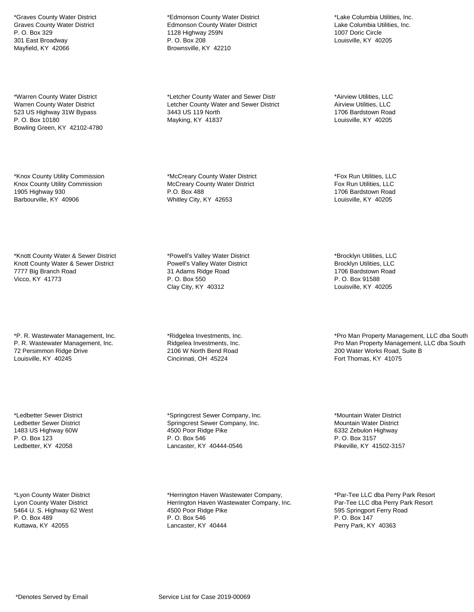\*Graves County Water District Graves County Water District P. O. Box 329 301 East Broadway Mayfield, KY 42066

\*Warren County Water District Warren County Water District 523 US Highway 31W Bypass P. O. Box 10180 Bowling Green, KY 42102-4780

\*Knox County Utility Commission Knox County Utility Commission 1905 Highway 930 Barbourville, KY 40906

\*Knott County Water & Sewer District Knott County Water & Sewer District 7777 Big Branch Road Vicco, KY 41773

\*P. R. Wastewater Management, Inc. P. R. Wastewater Management, Inc. 72 Persimmon Ridge Drive Louisville, KY 40245

\*Ledbetter Sewer District Ledbetter Sewer District 1483 US Highway 60W P. O. Box 123 Ledbetter, KY 42058

\*Lyon County Water District Lyon County Water District 5464 U. S. Highway 62 West P. O. Box 489 Kuttawa, KY 42055

\*Edmonson County Water District Edmonson County Water District 1128 Highway 259N P. O. Box 208 Brownsville, KY 42210

\*Letcher County Water and Sewer Distr Letcher County Water and Sewer District 3443 US 119 North Mayking, KY 41837

\*McCreary County Water District McCreary County Water District P.O. Box 488 Whitley City, KY 42653

\*Powell's Valley Water District Powell's Valley Water District 31 Adams Ridge Road P. O. Box 550 Clay City, KY 40312

\*Ridgelea Investments, Inc. Ridgelea Investments, Inc. 2106 W North Bend Road Cincinnati, OH 45224

\*Springcrest Sewer Company, Inc. Springcrest Sewer Company, Inc. 4500 Poor Ridge Pike P. O. Box 546 Lancaster, KY 40444-0546

\*Herrington Haven Wastewater Company, Herrington Haven Wastewater Company, Inc. 4500 Poor Ridge Pike P. O. Box 546 Lancaster, KY 40444

\*Lake Columbia Utilities, Inc. Lake Columbia Utilities, Inc. 1007 Doric Circle Louisville, KY 40205

\*Airview Utilities, LLC Airview Utilities, LLC 1706 Bardstown Road Louisville, KY 40205

\*Fox Run Utilities, LLC Fox Run Utilities, LLC 1706 Bardstown Road Louisville, KY 40205

\*Brocklyn Utilities, LLC Brocklyn Utilities, LLC 1706 Bardstown Road P. O. Box 91588 Louisville, KY 40205

\*Pro Man Property Management, LLC dba South Pro Man Property Management, LLC dba South 200 Water Works Road, Suite B Fort Thomas, KY 41075

\*Mountain Water District Mountain Water District 6332 Zebulon Highway P. O. Box 3157 Pikeville, KY 41502-3157

\*Par-Tee LLC dba Perry Park Resort Par-Tee LLC dba Perry Park Resort 595 Springport Ferry Road P. O. Box 147 Perry Park, KY 40363